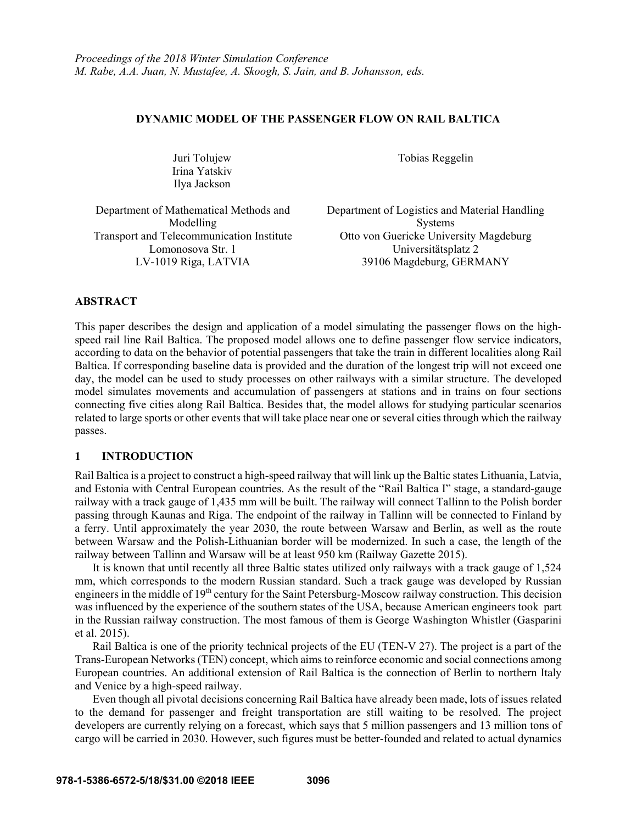### **DYNAMIC MODEL OF THE PASSENGER FLOW ON RAIL BALTICA**

Juri Tolujew Irina Yatskiv Ilya Jackson

Tobias Reggelin

Department of Mathematical Methods and Modelling

Department of Logistics and Material Handling Systems Transport and Telecommunication Institute Otto von Guericke University Magdeburg Lomonosova Str. 1 Universitätsplatz 2 LV-1019 Riga, LATVIA 39106 Magdeburg, GERMANY

### **ABSTRACT**

This paper describes the design and application of a model simulating the passenger flows on the highspeed rail line Rail Baltica. The proposed model allows one to define passenger flow service indicators, according to data on the behavior of potential passengers that take the train in different localities along Rail Baltica. If corresponding baseline data is provided and the duration of the longest trip will not exceed one day, the model can be used to study processes on other railways with a similar structure. The developed model simulates movements and accumulation of passengers at stations and in trains on four sections connecting five cities along Rail Baltica. Besides that, the model allows for studying particular scenarios related to large sports or other events that will take place near one or several cities through which the railway passes.

# **1 INTRODUCTION**

Rail Baltica is a project to construct a high-speed railway that will link up the Baltic states Lithuania, Latvia, and Estonia with Central European countries. As the result of the "Rail Baltica I" stage, a standard-gauge railway with a track gauge of 1,435 mm will be built. The railway will connect Tallinn to the Polish border passing through Kaunas and Riga. The endpoint of the railway in Tallinn will be connected to Finland by a ferry. Until approximately the year 2030, the route between Warsaw and Berlin, as well as the route between Warsaw and the Polish-Lithuanian border will be modernized. In such a case, the length of the railway between Tallinn and Warsaw will be at least 950 km (Railway Gazette 2015).

It is known that until recently all three Baltic states utilized only railways with a track gauge of 1,524 mm, which corresponds to the modern Russian standard. Such a track gauge was developed by Russian engineers in the middle of 19<sup>th</sup> century for the Saint Petersburg-Moscow railway construction. This decision was influenced by the experience of the southern states of the USA, because American engineers took part in the Russian railway construction. The most famous of them is George Washington Whistler (Gasparini et al. 2015).

Rail Baltica is one of the priority technical projects of the EU (TEN-V 27). The project is a part of the Trans-European Networks (TEN) concept, which aims to reinforce economic and social connections among European countries. An additional extension of Rail Baltica is the connection of Berlin to northern Italy and Venice by a high-speed railway.

Even though all pivotal decisions concerning Rail Baltica have already been made, lots of issues related to the demand for passenger and freight transportation are still waiting to be resolved. The project developers are currently relying on a forecast, which says that 5 million passengers and 13 million tons of cargo will be carried in 2030. However, such figures must be better-founded and related to actual dynamics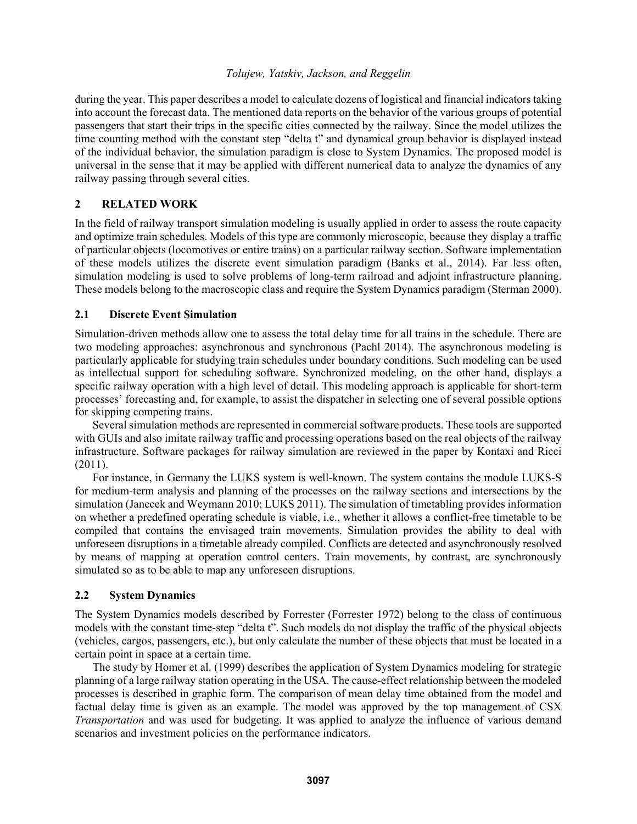during the year. This paper describes a model to calculate dozens of logistical and financial indicators taking into account the forecast data. The mentioned data reports on the behavior of the various groups of potential passengers that start their trips in the specific cities connected by the railway. Since the model utilizes the time counting method with the constant step "delta t" and dynamical group behavior is displayed instead of the individual behavior, the simulation paradigm is close to System Dynamics. The proposed model is universal in the sense that it may be applied with different numerical data to analyze the dynamics of any railway passing through several cities.

# **2 RELATED WORK**

In the field of railway transport simulation modeling is usually applied in order to assess the route capacity and optimize train schedules. Models of this type are commonly microscopic, because they display a traffic of particular objects (locomotives or entire trains) on a particular railway section. Software implementation of these models utilizes the discrete event simulation paradigm (Banks et al., 2014). Far less often, simulation modeling is used to solve problems of long-term railroad and adjoint infrastructure planning. These models belong to the macroscopic class and require the System Dynamics paradigm (Sterman 2000).

# **2.1 Discrete Event Simulation**

Simulation-driven methods allow one to assess the total delay time for all trains in the schedule. There are two modeling approaches: asynchronous and synchronous (Pachl 2014). The asynchronous modeling is particularly applicable for studying train schedules under boundary conditions. Such modeling can be used as intellectual support for scheduling software. Synchronized modeling, on the other hand, displays a specific railway operation with a high level of detail. This modeling approach is applicable for short-term processes' forecasting and, for example, to assist the dispatcher in selecting one of several possible options for skipping competing trains.

Several simulation methods are represented in commercial software products. These tools are supported with GUIs and also imitate railway traffic and processing operations based on the real objects of the railway infrastructure. Software packages for railway simulation are reviewed in the paper by Kontaxi and Ricci (2011).

For instance, in Germany the LUKS system is well-known. The system contains the module LUKS-S for medium-term analysis and planning of the processes on the railway sections and intersections by the simulation (Janecek and Weymann 2010; LUKS 2011). The simulation of timetabling provides information on whether a predefined operating schedule is viable, i.e., whether it allows a conflict-free timetable to be compiled that contains the envisaged train movements. Simulation provides the ability to deal with unforeseen disruptions in a timetable already compiled. Conflicts are detected and asynchronously resolved by means of mapping at operation control centers. Train movements, by contrast, are synchronously simulated so as to be able to map any unforeseen disruptions.

# **2.2 System Dynamics**

The System Dynamics models described by Forrester (Forrester 1972) belong to the class of continuous models with the constant time-step "delta t". Such models do not display the traffic of the physical objects (vehicles, cargos, passengers, etc.), but only calculate the number of these objects that must be located in a certain point in space at a certain time.

The study by Homer et al. (1999) describes the application of System Dynamics modeling for strategic planning of a large railway station operating in the USA. The cause-effect relationship between the modeled processes is described in graphic form. The comparison of mean delay time obtained from the model and factual delay time is given as an example. The model was approved by the top management of CSX *Transportation* and was used for budgeting. It was applied to analyze the influence of various demand scenarios and investment policies on the performance indicators.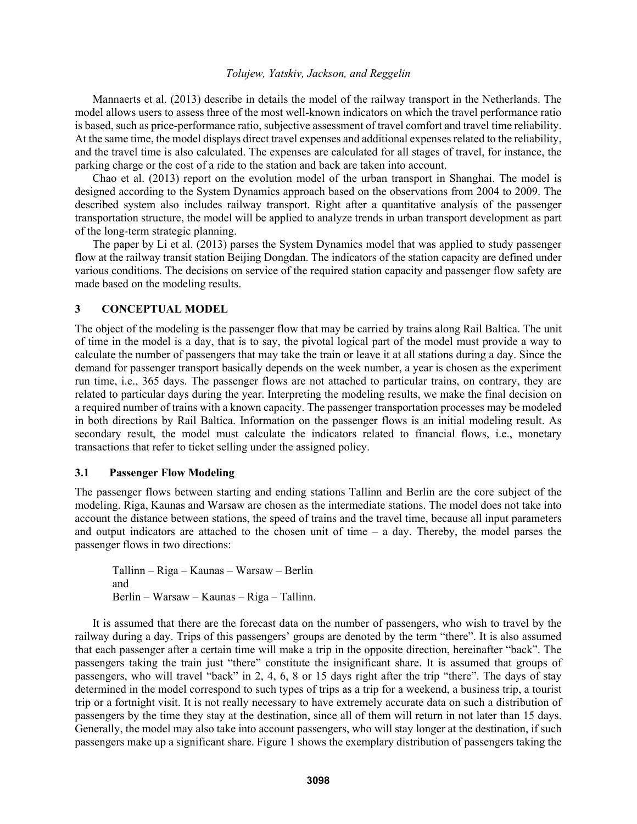Mannaerts et al. (2013) describe in details the model of the railway transport in the Netherlands. The model allows users to assess three of the most well-known indicators on which the travel performance ratio is based, such as price-performance ratio, subjective assessment of travel comfort and travel time reliability. At the same time, the model displays direct travel expenses and additional expenses related to the reliability, and the travel time is also calculated. The expenses are calculated for all stages of travel, for instance, the parking charge or the cost of a ride to the station and back are taken into account.

Chao et al. (2013) report on the evolution model of the urban transport in Shanghai. The model is designed according to the System Dynamics approach based on the observations from 2004 to 2009. The described system also includes railway transport. Right after a quantitative analysis of the passenger transportation structure, the model will be applied to analyze trends in urban transport development as part of the long-term strategic planning.

The paper by Li et al. (2013) parses the System Dynamics model that was applied to study passenger flow at the railway transit station Beijing Dongdan. The indicators of the station capacity are defined under various conditions. The decisions on service of the required station capacity and passenger flow safety are made based on the modeling results.

# **3 CONCEPTUAL MODEL**

The object of the modeling is the passenger flow that may be carried by trains along Rail Baltica. The unit of time in the model is a day, that is to say, the pivotal logical part of the model must provide a way to calculate the number of passengers that may take the train or leave it at all stations during a day. Since the demand for passenger transport basically depends on the week number, a year is chosen as the experiment run time, i.e., 365 days. The passenger flows are not attached to particular trains, on contrary, they are related to particular days during the year. Interpreting the modeling results, we make the final decision on a required number of trains with a known capacity. The passenger transportation processes may be modeled in both directions by Rail Baltica. Information on the passenger flows is an initial modeling result. As secondary result, the model must calculate the indicators related to financial flows, i.e., monetary transactions that refer to ticket selling under the assigned policy.

### **3.1 Passenger Flow Modeling**

The passenger flows between starting and ending stations Tallinn and Berlin are the core subject of the modeling. Riga, Kaunas and Warsaw are chosen as the intermediate stations. The model does not take into account the distance between stations, the speed of trains and the travel time, because all input parameters and output indicators are attached to the chosen unit of time – a day. Thereby, the model parses the passenger flows in two directions:

Tallinn – Riga – Kaunas – Warsaw – Berlin and Berlin – Warsaw – Kaunas – Riga – Tallinn.

It is assumed that there are the forecast data on the number of passengers, who wish to travel by the railway during a day. Trips of this passengers' groups are denoted by the term "there". It is also assumed that each passenger after a certain time will make a trip in the opposite direction, hereinafter "back". The passengers taking the train just "there" constitute the insignificant share. It is assumed that groups of passengers, who will travel "back" in 2, 4, 6, 8 or 15 days right after the trip "there". The days of stay determined in the model correspond to such types of trips as a trip for a weekend, a business trip, a tourist trip or a fortnight visit. It is not really necessary to have extremely accurate data on such a distribution of passengers by the time they stay at the destination, since all of them will return in not later than 15 days. Generally, the model may also take into account passengers, who will stay longer at the destination, if such passengers make up a significant share. Figure 1 shows the exemplary distribution of passengers taking the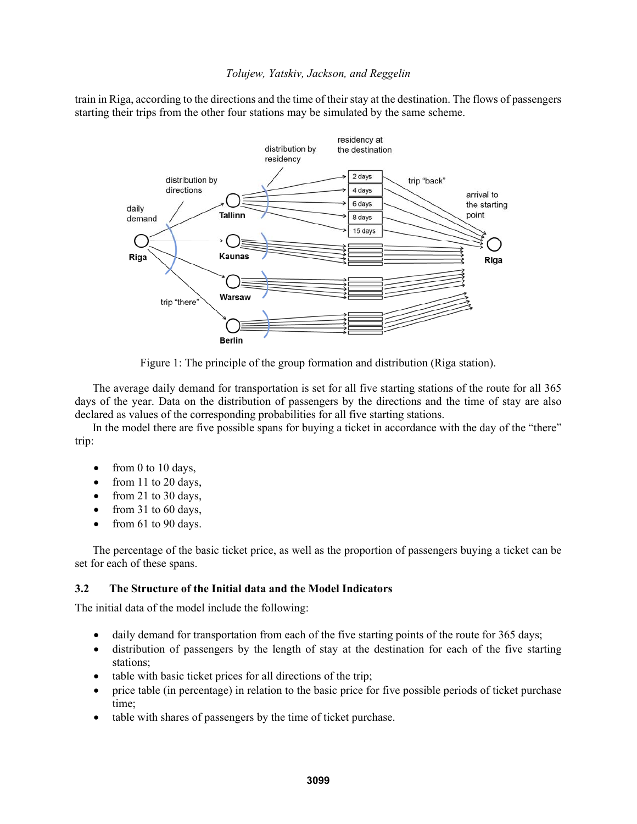train in Riga, according to the directions and the time of their stay at the destination. The flows of passengers starting their trips from the other four stations may be simulated by the same scheme.



Figure 1: The principle of the group formation and distribution (Riga station).

The average daily demand for transportation is set for all five starting stations of the route for all 365 days of the year. Data on the distribution of passengers by the directions and the time of stay are also declared as values of the corresponding probabilities for all five starting stations.

In the model there are five possible spans for buying a ticket in accordance with the day of the "there" trip:

- from 0 to 10 days,
- $\bullet$  from 11 to 20 days,
- $\bullet$  from 21 to 30 days,
- from 31 to 60 days,
- $\bullet$  from 61 to 90 days.

The percentage of the basic ticket price, as well as the proportion of passengers buying a ticket can be set for each of these spans.

# **3.2 The Structure of the Initial data and the Model Indicators**

The initial data of the model include the following:

- daily demand for transportation from each of the five starting points of the route for 365 days;
- distribution of passengers by the length of stay at the destination for each of the five starting stations;
- table with basic ticket prices for all directions of the trip;
- price table (in percentage) in relation to the basic price for five possible periods of ticket purchase time;
- table with shares of passengers by the time of ticket purchase.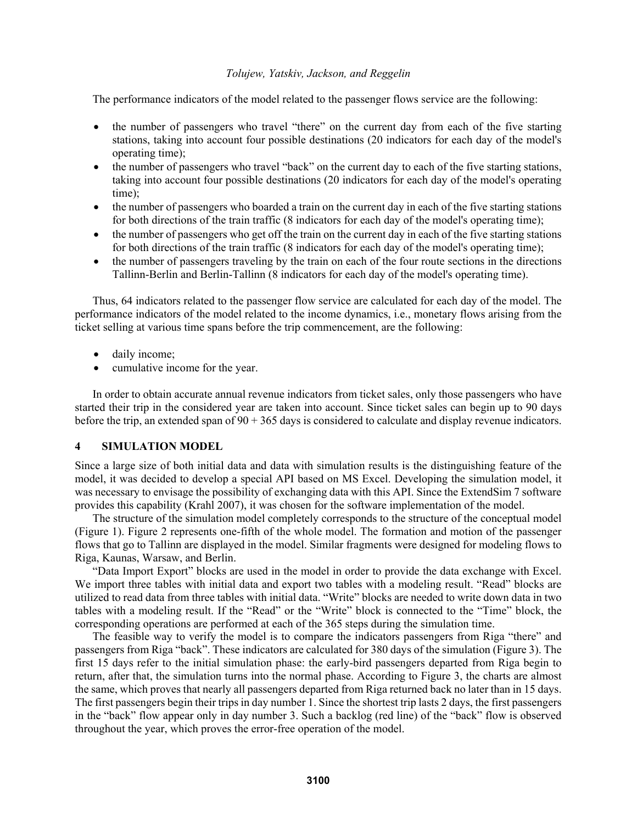The performance indicators of the model related to the passenger flows service are the following:

- the number of passengers who travel "there" on the current day from each of the five starting stations, taking into account four possible destinations (20 indicators for each day of the model's operating time);
- the number of passengers who travel "back" on the current day to each of the five starting stations, taking into account four possible destinations (20 indicators for each day of the model's operating time);
- the number of passengers who boarded a train on the current day in each of the five starting stations for both directions of the train traffic (8 indicators for each day of the model's operating time);
- the number of passengers who get off the train on the current day in each of the five starting stations for both directions of the train traffic (8 indicators for each day of the model's operating time);
- the number of passengers traveling by the train on each of the four route sections in the directions Tallinn-Berlin and Berlin-Tallinn (8 indicators for each day of the model's operating time).

Thus, 64 indicators related to the passenger flow service are calculated for each day of the model. The performance indicators of the model related to the income dynamics, i.e., monetary flows arising from the ticket selling at various time spans before the trip commencement, are the following:

- daily income;
- cumulative income for the year.

In order to obtain accurate annual revenue indicators from ticket sales, only those passengers who have started their trip in the considered year are taken into account. Since ticket sales can begin up to 90 days before the trip, an extended span of 90 + 365 days is considered to calculate and display revenue indicators.

### **4 SIMULATION MODEL**

Since a large size of both initial data and data with simulation results is the distinguishing feature of the model, it was decided to develop a special API based on MS Excel. Developing the simulation model, it was necessary to envisage the possibility of exchanging data with this API. Since the ExtendSim 7 software provides this capability (Krahl 2007), it was chosen for the software implementation of the model.

The structure of the simulation model completely corresponds to the structure of the conceptual model (Figure 1). Figure 2 represents one-fifth of the whole model. The formation and motion of the passenger flows that go to Tallinn are displayed in the model. Similar fragments were designed for modeling flows to Riga, Kaunas, Warsaw, and Berlin.

"Data Import Export" blocks are used in the model in order to provide the data exchange with Excel. We import three tables with initial data and export two tables with a modeling result. "Read" blocks are utilized to read data from three tables with initial data. "Write" blocks are needed to write down data in two tables with a modeling result. If the "Read" or the "Write" block is connected to the "Time" block, the corresponding operations are performed at each of the 365 steps during the simulation time.

The feasible way to verify the model is to compare the indicators passengers from Riga "there" and passengers from Riga "back". These indicators are calculated for 380 days of the simulation (Figure 3). The first 15 days refer to the initial simulation phase: the early-bird passengers departed from Riga begin to return, after that, the simulation turns into the normal phase. According to Figure 3, the charts are almost the same, which proves that nearly all passengers departed from Riga returned back no later than in 15 days. The first passengers begin their trips in day number 1. Since the shortest trip lasts 2 days, the first passengers in the "back" flow appear only in day number 3. Such a backlog (red line) of the "back" flow is observed throughout the year, which proves the error-free operation of the model.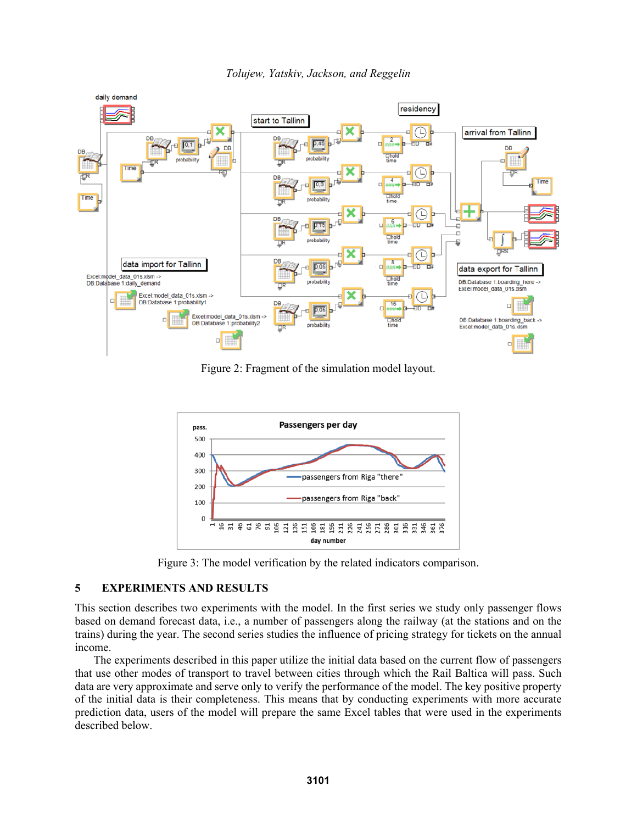

*Tolujew, Yatskiv, Jackson, and Reggelin* 

Figure 2: Fragment of the simulation model layout.



Figure 3: The model verification by the related indicators comparison.

# **5 EXPERIMENTS AND RESULTS**

This section describes two experiments with the model. In the first series we study only passenger flows based on demand forecast data, i.e., a number of passengers along the railway (at the stations and on the trains) during the year. The second series studies the influence of pricing strategy for tickets on the annual income.

The experiments described in this paper utilize the initial data based on the current flow of passengers that use other modes of transport to travel between cities through which the Rail Baltica will pass. Such data are very approximate and serve only to verify the performance of the model. The key positive property of the initial data is their completeness. This means that by conducting experiments with more accurate prediction data, users of the model will prepare the same Excel tables that were used in the experiments described below.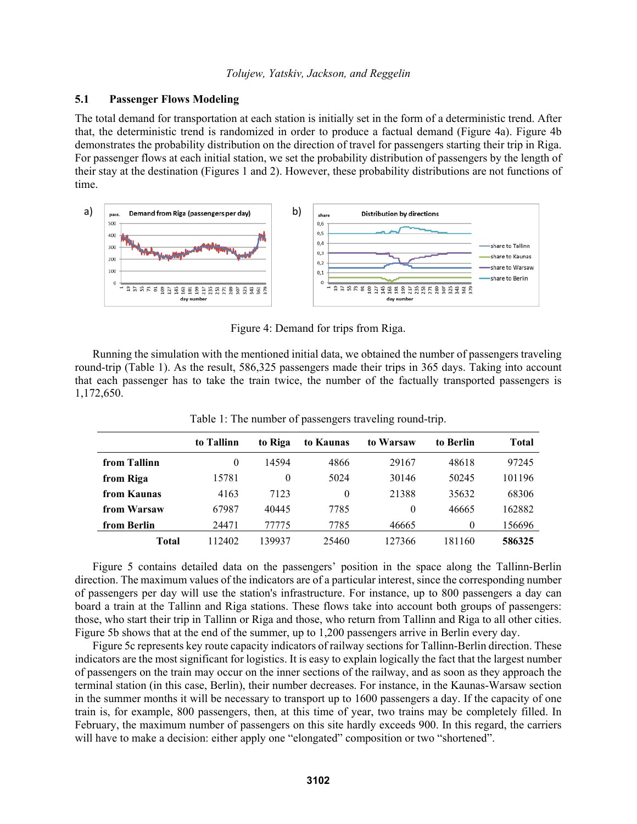# **5.1 Passenger Flows Modeling**

The total demand for transportation at each station is initially set in the form of a deterministic trend. After that, the deterministic trend is randomized in order to produce a factual demand (Figure 4a). Figure 4b demonstrates the probability distribution on the direction of travel for passengers starting their trip in Riga. For passenger flows at each initial station, we set the probability distribution of passengers by the length of their stay at the destination (Figures 1 and 2). However, these probability distributions are not functions of time.



Figure 4: Demand for trips from Riga.

Running the simulation with the mentioned initial data, we obtained the number of passengers traveling round-trip (Table 1). As the result, 586,325 passengers made their trips in 365 days. Taking into account that each passenger has to take the train twice, the number of the factually transported passengers is 1,172,650.

|              | to Tallinn | to Riga | to Kaunas | to Warsaw | to Berlin | Total  |
|--------------|------------|---------|-----------|-----------|-----------|--------|
| from Tallinn | 0          | 14594   | 4866      | 29167     | 48618     | 97245  |
| from Riga    | 15781      | 0       | 5024      | 30146     | 50245     | 101196 |
| from Kaunas  | 4163       | 7123    | 0         | 21388     | 35632     | 68306  |
| from Warsaw  | 67987      | 40445   | 7785      | $\theta$  | 46665     | 162882 |
| from Berlin  | 24471      | 77775   | 7785      | 46665     | $\theta$  | 156696 |
| Total        | 112402     | 139937  | 25460     | 127366    | 181160    | 586325 |

Table 1: The number of passengers traveling round-trip.

Figure 5 contains detailed data on the passengers' position in the space along the Tallinn-Berlin direction. The maximum values of the indicators are of a particular interest, since the corresponding number of passengers per day will use the station's infrastructure. For instance, up to 800 passengers a day can board a train at the Tallinn and Riga stations. These flows take into account both groups of passengers: those, who start their trip in Tallinn or Riga and those, who return from Tallinn and Riga to all other cities. Figure 5b shows that at the end of the summer, up to 1,200 passengers arrive in Berlin every day.

Figure 5c represents key route capacity indicators of railway sections for Tallinn-Berlin direction. These indicators are the most significant for logistics. It is easy to explain logically the fact that the largest number of passengers on the train may occur on the inner sections of the railway, and as soon as they approach the terminal station (in this case, Berlin), their number decreases. For instance, in the Kaunas-Warsaw section in the summer months it will be necessary to transport up to 1600 passengers a day. If the capacity of one train is, for example, 800 passengers, then, at this time of year, two trains may be completely filled. In February, the maximum number of passengers on this site hardly exceeds 900. In this regard, the carriers will have to make a decision: either apply one "elongated" composition or two "shortened".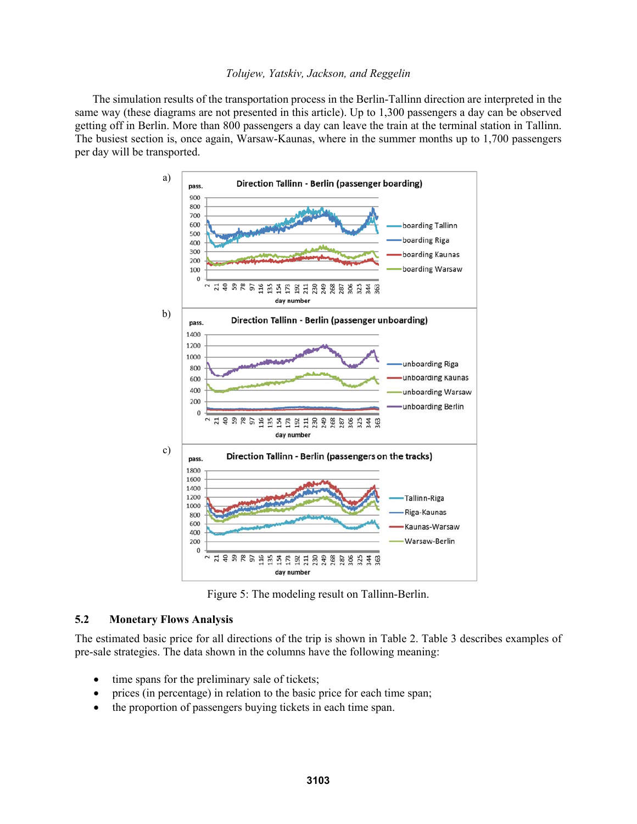The simulation results of the transportation process in the Berlin-Tallinn direction are interpreted in the same way (these diagrams are not presented in this article). Up to 1,300 passengers a day can be observed getting off in Berlin. More than 800 passengers a day can leave the train at the terminal station in Tallinn. The busiest section is, once again, Warsaw-Kaunas, where in the summer months up to 1,700 passengers per day will be transported.



Figure 5: The modeling result on Tallinn-Berlin.

# **5.2 Monetary Flows Analysis**

The estimated basic price for all directions of the trip is shown in Table 2. Table 3 describes examples of pre-sale strategies. The data shown in the columns have the following meaning:

- time spans for the preliminary sale of tickets;
- prices (in percentage) in relation to the basic price for each time span;
- the proportion of passengers buying tickets in each time span.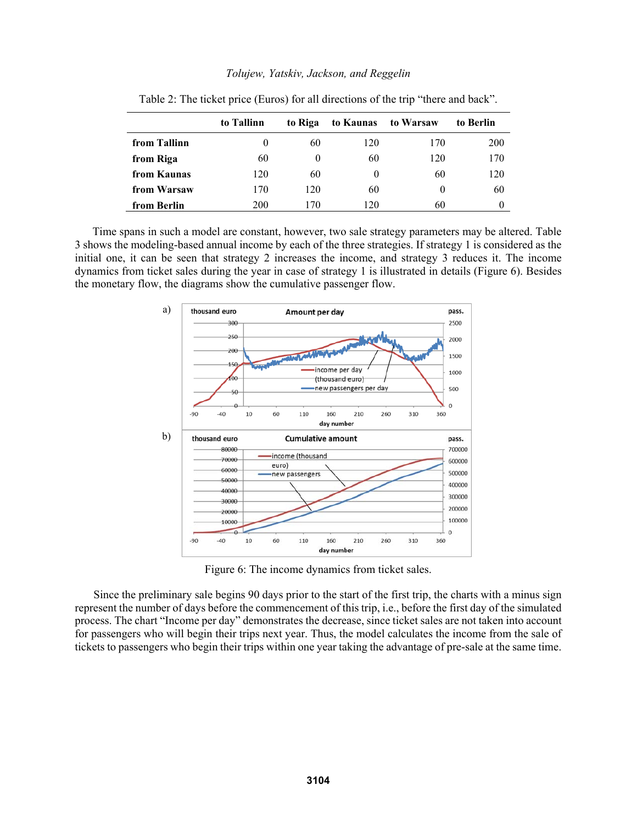|              | to Tallinn | to Riga | to Kaunas | to Warsaw | to Berlin |
|--------------|------------|---------|-----------|-----------|-----------|
| from Tallinn | $\theta$   | 60      | 120       | 170       | 200       |
| from Riga    | 60         |         | 60        | 120       | 170       |
| from Kaunas  | 120        | 60      | $\theta$  | 60        | 120       |
| from Warsaw  | 170        | 120     | 60        | $\theta$  | 60        |
| from Berlin  | 200        | 170     | 120       | 60        |           |

Table 2: The ticket price (Euros) for all directions of the trip "there and back".

Time spans in such a model are constant, however, two sale strategy parameters may be altered. Table 3 shows the modeling-based annual income by each of the three strategies. If strategy 1 is considered as the initial one, it can be seen that strategy 2 increases the income, and strategy 3 reduces it. The income dynamics from ticket sales during the year in case of strategy 1 is illustrated in details (Figure 6). Besides the monetary flow, the diagrams show the cumulative passenger flow.



Figure 6: The income dynamics from ticket sales.

Since the preliminary sale begins 90 days prior to the start of the first trip, the charts with a minus sign represent the number of days before the commencement of this trip, i.e., before the first day of the simulated process. The chart "Income per day" demonstrates the decrease, since ticket sales are not taken into account for passengers who will begin their trips next year. Thus, the model calculates the income from the sale of tickets to passengers who begin their trips within one year taking the advantage of pre-sale at the same time.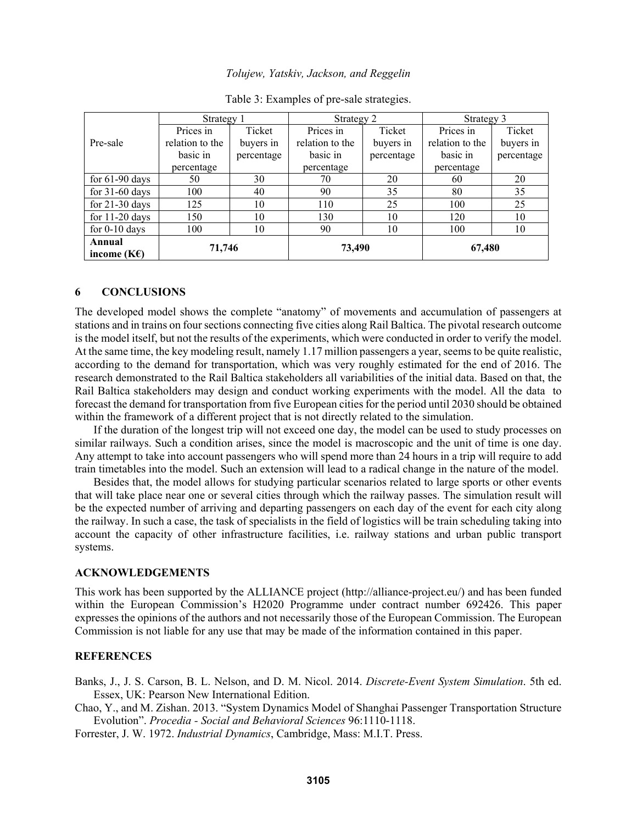|                         | Strategy 2<br>Strategy 1 |            |                 | Strategy 3 |                 |            |
|-------------------------|--------------------------|------------|-----------------|------------|-----------------|------------|
|                         | Prices in                | Ticket     | Prices in       | Ticket     | Prices in       | Ticket     |
| Pre-sale                | relation to the          | buyers in  | relation to the | buyers in  | relation to the | buyers in  |
|                         | basic in                 | percentage | basic in        | percentage | basic in        | percentage |
|                         | percentage               |            | percentage      |            | percentage      |            |
| for $61-90$ days        | 50                       | 30         | 70              | 20         | 60              | 20         |
| for $31-60$ days        | 100                      | 40         | 90              | 35         | 80              | 35         |
| for $21-30$ days        | 125                      | 10         | 110             | 25         | 100             | 25         |
| for $11-20$ days        | 150                      | 10         | 130             | 10         | 120             | 10         |
| for $0-10$ days         | 100                      | 10         | 90              | 10         | 100             | 10         |
| Annual<br>income $(KE)$ | 71,746                   |            | 73,490          |            | 67,480          |            |

|  |  |  |  |  |  |  | Table 3: Examples of pre-sale strategies |
|--|--|--|--|--|--|--|------------------------------------------|
|--|--|--|--|--|--|--|------------------------------------------|

### **6 CONCLUSIONS**

The developed model shows the complete "anatomy" of movements and accumulation of passengers at stations and in trains on four sections connecting five cities along Rail Baltica. The pivotal research outcome is the model itself, but not the results of the experiments, which were conducted in order to verify the model. At the same time, the key modeling result, namely 1.17 million passengers a year, seems to be quite realistic, according to the demand for transportation, which was very roughly estimated for the end of 2016. The research demonstrated to the Rail Baltica stakeholders all variabilities of the initial data. Based on that, the Rail Baltica stakeholders may design and conduct working experiments with the model. All the data to forecast the demand for transportation from five European cities for the period until 2030 should be obtained within the framework of a different project that is not directly related to the simulation.

If the duration of the longest trip will not exceed one day, the model can be used to study processes on similar railways. Such a condition arises, since the model is macroscopic and the unit of time is one day. Any attempt to take into account passengers who will spend more than 24 hours in a trip will require to add train timetables into the model. Such an extension will lead to a radical change in the nature of the model.

Besides that, the model allows for studying particular scenarios related to large sports or other events that will take place near one or several cities through which the railway passes. The simulation result will be the expected number of arriving and departing passengers on each day of the event for each city along the railway. In such a case, the task of specialists in the field of logistics will be train scheduling taking into account the capacity of other infrastructure facilities, i.e. railway stations and urban public transport systems.

### **ACKNOWLEDGEMENTS**

This work has been supported by the ALLIANCE project (http://alliance-project.eu/) and has been funded within the European Commission's H2020 Programme under contract number 692426. This paper expresses the opinions of the authors and not necessarily those of the European Commission. The European Commission is not liable for any use that may be made of the information contained in this paper.

#### **REFERENCES**

Banks, J., J. S. Carson, B. L. Nelson, and D. M. Nicol. 2014. *Discrete-Event System Simulation*. 5th ed. Essex, UK: Pearson New International Edition.

Chao, Y., and M. Zishan. 2013. "System Dynamics Model of Shanghai Passenger Transportation Structure Evolution". *Procedia - Social and Behavioral Sciences* 96:1110-1118.

Forrester, J. W. 1972. *Industrial Dynamics*, Cambridge, Mass: M.I.T. Press.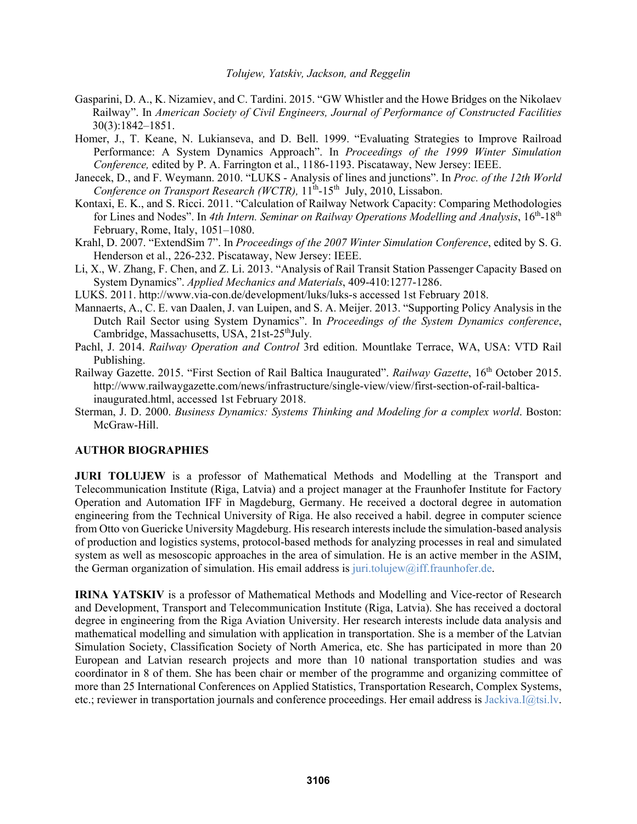- Gasparini, D. A., K. Nizamiev, and C. Tardini. 2015. "GW Whistler and the Howe Bridges on the Nikolaev Railway". In *American Society of Civil Engineers, Journal of Performance of Constructed Facilities* 30(3):1842–1851.
- Homer, J., T. Keane, N. Lukianseva, and D. Bell. 1999. "Evaluating Strategies to Improve Railroad Performance: A System Dynamics Approach". In *Proceedings of the 1999 Winter Simulation Conference,* edited by P. A. Farrington et al., 1186-1193. Piscataway, New Jersey: IEEE.
- Janecek, D., and F. Weymann. 2010. "LUKS Analysis of lines and junctions". In *Proc. of the 12th World Conference on Transport Research (WCTR)*,  $11^{th}$ -15<sup>th</sup> July, 2010, Lissabon.
- Kontaxi, E. K., and S. Ricci. 2011. "Calculation of Railway Network Capacity: Comparing Methodologies for Lines and Nodes". In 4th Intern. Seminar on Railway Operations Modelling and Analysis, 16<sup>th</sup>-18<sup>th</sup> February, Rome, Italy, 1051–1080.
- Krahl, D. 2007. "ExtendSim 7". In *Proceedings of the 2007 Winter Simulation Conference*, edited by S. G. Henderson et al., 226-232. Piscataway, New Jersey: IEEE.
- Li, X., W. Zhang, F. Chen, and Z. Li. 2013. "Analysis of Rail Transit Station Passenger Capacity Based on System Dynamics". *Applied Mechanics and Materials*, 409-410:1277-1286.
- LUKS. 2011. http://www.via-con.de/development/luks/luks-s accessed 1st February 2018.
- Mannaerts, A., C. E. van Daalen, J. van Luipen, and S. A. Meijer. 2013. "Supporting Policy Analysis in the Dutch Rail Sector using System Dynamics". In *Proceedings of the System Dynamics conference*, Cambridge, Massachusetts, USA, 21st-25<sup>th</sup>July.
- Pachl, J. 2014. *Railway Operation and Control* 3rd edition. Mountlake Terrace, WA, USA: VTD Rail Publishing.
- Railway Gazette. 2015. "First Section of Rail Baltica Inaugurated". *Railway Gazette*, 16th October 2015. http://www.railwaygazette.com/news/infrastructure/single-view/view/first-section-of-rail-balticainaugurated.html, accessed 1st February 2018.
- Sterman, J. D. 2000. *Business Dynamics: Systems Thinking and Modeling for a complex world*. Boston: McGraw-Hill.

#### **AUTHOR BIOGRAPHIES**

**JURI TOLUJEW** is a professor of Mathematical Methods and Modelling at the Transport and Telecommunication Institute (Riga, Latvia) and a project manager at the Fraunhofer Institute for Factory Operation and Automation IFF in Magdeburg, Germany. He received a doctoral degree in automation engineering from the Technical University of Riga. He also received a habil. degree in computer science from Otto von Guericke University Magdeburg. His research interests include the simulation-based analysis of production and logistics systems, protocol-based methods for analyzing processes in real and simulated system as well as mesoscopic approaches in the area of simulation. He is an active member in the ASIM, the German organization of simulation. His email address is juri.tolujew@iff.fraunhofer.de.

**IRINA YATSKIV** is a professor of Mathematical Methods and Modelling and Vice-rector of Research and Development, Transport and Telecommunication Institute (Riga, Latvia). She has received a doctoral degree in engineering from the Riga Aviation University. Her research interests include data analysis and mathematical modelling and simulation with application in transportation. She is a member of the Latvian Simulation Society, Classification Society of North America, etc. She has participated in more than 20 European and Latvian research projects and more than 10 national transportation studies and was coordinator in 8 of them. She has been chair or member of the programme and organizing committee of more than 25 International Conferences on Applied Statistics, Transportation Research, Complex Systems, etc.; reviewer in transportation journals and conference proceedings. Her email address is Jackiva.I@tsi.lv.